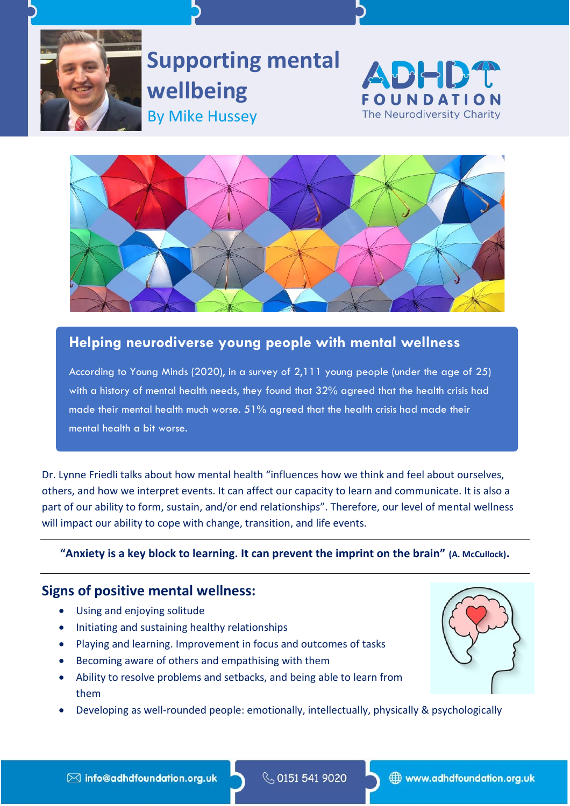

**Supporting mental wellbeing** By Mike Hussey





## **Helping neurodiverse young people with mental wellness**

According to Young Minds (2020), in a survey of 2,111 young people (under the age of 25) with a history of mental health needs, they found that 32% agreed that the health crisis had made their mental health much worse. 51% agreed that the health crisis had made their mental health a bit worse.

Dr. Lynne Friedli talks about how mental health "influences how we think and feel about ourselves, others, and how we interpret events. It can affect our capacity to learn and communicate. It is also a part of our ability to form, sustain, and/or end relationships". Therefore, our level of mental wellness will impact our ability to cope with change, transition, and life events.

## **"Anxiety is a key block to learning. It can prevent the imprint on the brain" (A. McCullock).**

## **Signs of positive mental wellness:**

- Using and enjoying solitude
- Initiating and sustaining healthy relationships
- Playing and learning. Improvement in focus and outcomes of tasks
- Becoming aware of others and empathising with them
- Ability to resolve problems and setbacks, and being able to learn from them
- Developing as well-rounded people: emotionally, intellectually, physically & psychologically